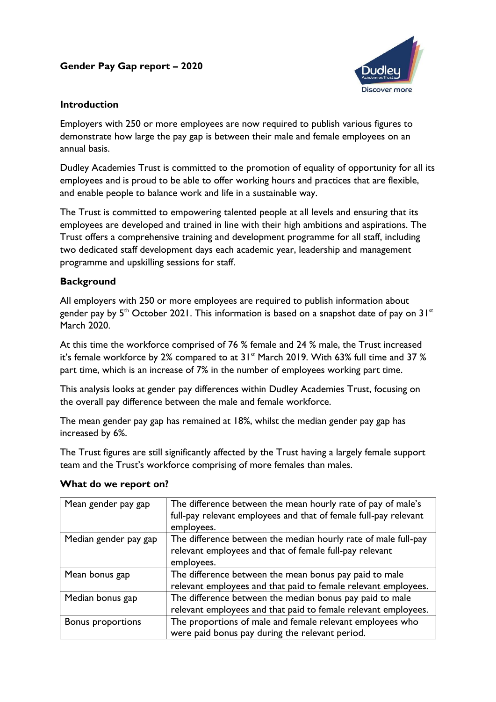# **Gender Pay Gap report – 2020**



### **Introduction**

Employers with 250 or more employees are now required to publish various figures to demonstrate how large the pay gap is between their male and female employees on an annual basis.

Dudley Academies Trust is committed to the promotion of equality of opportunity for all its employees and is proud to be able to offer working hours and practices that are flexible, and enable people to balance work and life in a sustainable way.

The Trust is committed to empowering talented people at all levels and ensuring that its employees are developed and trained in line with their high ambitions and aspirations. The Trust offers a comprehensive training and development programme for all staff, including two dedicated staff development days each academic year, leadership and management programme and upskilling sessions for staff.

### **Background**

All employers with 250 or more employees are required to publish information about gender pay by  $5<sup>th</sup>$  October 2021. This information is based on a snapshot date of pay on  $31<sup>st</sup>$ March 2020.

At this time the workforce comprised of 76 % female and 24 % male, the Trust increased it's female workforce by 2% compared to at  $31<sup>st</sup>$  March 2019. With 63% full time and 37 % part time, which is an increase of 7% in the number of employees working part time.

This analysis looks at gender pay differences within Dudley Academies Trust, focusing on the overall pay difference between the male and female workforce.

The mean gender pay gap has remained at 18%, whilst the median gender pay gap has increased by 6%.

The Trust figures are still significantly affected by the Trust having a largely female support team and the Trust's workforce comprising of more females than males.

| Mean gender pay gap      | The difference between the mean hourly rate of pay of male's     |  |  |
|--------------------------|------------------------------------------------------------------|--|--|
|                          | full-pay relevant employees and that of female full-pay relevant |  |  |
|                          | employees.                                                       |  |  |
| Median gender pay gap    | The difference between the median hourly rate of male full-pay   |  |  |
|                          | relevant employees and that of female full-pay relevant          |  |  |
|                          | employees.                                                       |  |  |
| Mean bonus gap           | The difference between the mean bonus pay paid to male           |  |  |
|                          | relevant employees and that paid to female relevant employees.   |  |  |
| Median bonus gap         | The difference between the median bonus pay paid to male         |  |  |
|                          | relevant employees and that paid to female relevant employees.   |  |  |
| <b>Bonus proportions</b> | The proportions of male and female relevant employees who        |  |  |
|                          | were paid bonus pay during the relevant period.                  |  |  |

### **What do we report on?**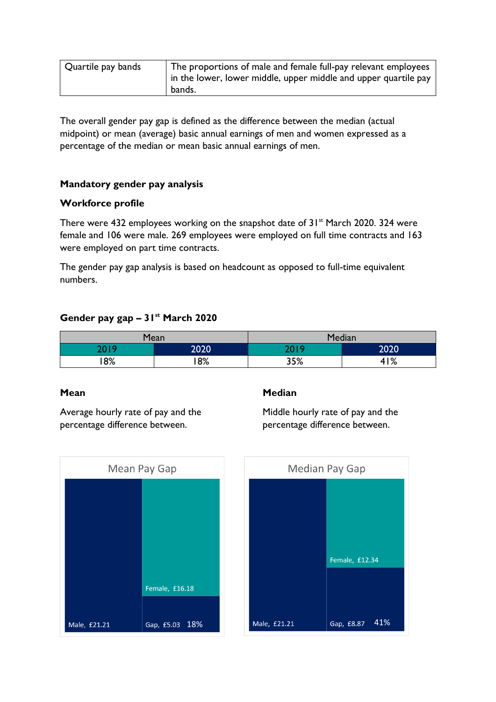| Quartile pay bands | The proportions of male and female full-pay relevant employees<br>in the lower, lower middle, upper middle and upper quartile pay |
|--------------------|-----------------------------------------------------------------------------------------------------------------------------------|
|                    | bands.                                                                                                                            |

The overall gender pay gap is defined as the difference between the median (actual midpoint) or mean (average) basic annual earnings of men and women expressed as a percentage of the median or mean basic annual earnings of men.

#### **Mandatory gender pay analysis**

#### **Workforce profile**

There were 432 employees working on the snapshot date of  $31<sup>st</sup>$  March 2020. 324 were female and 106 were male. 269 employees were employed on full time contracts and 163 were employed on part time contracts.

The gender pay gap analysis is based on headcount as opposed to full-time equivalent numbers.

## **Gender pay gap – 31st March 2020**

| Mean  |      | Median |      |
|-------|------|--------|------|
| חו חר | 2020 | ם ו חר | 2020 |
| 8%    | 8%   | 35%    | 41%  |

#### **Mean**

Average hourly rate of pay and the percentage difference between.

#### **Median**

Middle hourly rate of pay and the percentage difference between.